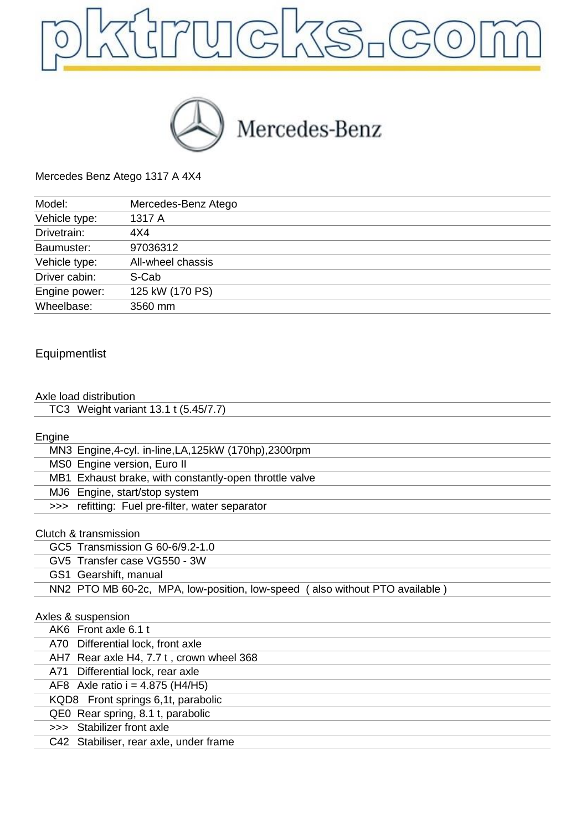



Mercedes Benz Atego 1317 A 4X4

| Model:        | Mercedes-Benz Atego |
|---------------|---------------------|
| Vehicle type: | 1317 A              |
| Drivetrain:   | 4X4                 |
| Baumuster:    | 97036312            |
| Vehicle type: | All-wheel chassis   |
| Driver cabin: | S-Cab               |
| Engine power: | 125 kW (170 PS)     |
| Wheelbase:    | 3560 mm             |

## Equipmentlist

### Axle load distribution

| TC3 Weight variant 13.1 t (5.45/7.7) |  |
|--------------------------------------|--|
|                                      |  |

### Engine

| MN3 Engine, 4-cyl. in-line, LA, 125kW (170hp), 2300rpm |
|--------------------------------------------------------|
| MS0 Engine version, Euro II                            |
| MB1 Exhaust brake, with constantly-open throttle valve |
| MJ6 Engine, start/stop system                          |
| >>> refitting: Fuel pre-filter, water separator        |
|                                                        |
| Clutch & transmission                                  |
| GC5 Transmission G 60-6/9.2-1.0                        |

| GV5 Transfer case VG550 - 3W                                                |  |
|-----------------------------------------------------------------------------|--|
| GS1 Gearshift, manual                                                       |  |
| NN2 PTO MB 60-2c, MPA, low-position, low-speed (also without PTO available) |  |

|  | Axles & suspension                       |
|--|------------------------------------------|
|  | AK6 Front axle 6.1 t                     |
|  | A70 Differential lock, front axle        |
|  | AH7 Rear axle H4, 7.7 t, crown wheel 368 |
|  | A71 Differential lock, rear axle         |
|  | AF8 Axle ratio $i = 4.875$ (H4/H5)       |
|  | KQD8 Front springs 6,1t, parabolic       |
|  | QE0 Rear spring, 8.1 t, parabolic        |
|  | >>> Stabilizer front axle                |
|  | C42 Stabiliser, rear axle, under frame   |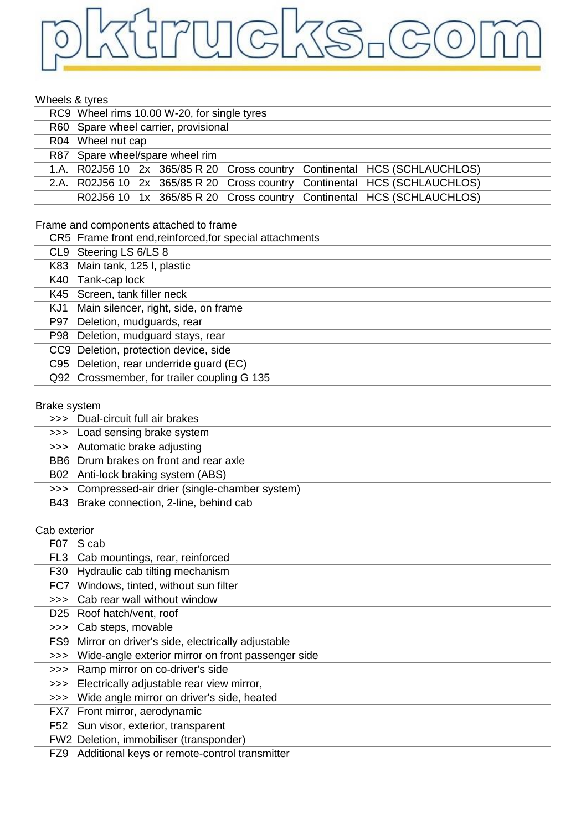## pktrucks.com

### Whoole & tyres

| <b>VVIIGGIS &amp; LYTES</b> |                                                                                 |
|-----------------------------|---------------------------------------------------------------------------------|
|                             | RC9 Wheel rims 10.00 W-20, for single tyres                                     |
| <b>R60</b>                  | Spare wheel carrier, provisional                                                |
|                             | R04 Wheel nut cap                                                               |
|                             | R87 Spare wheel/spare wheel rim                                                 |
|                             | 1.A. R02J56 10 2x 365/85 R 20<br>Cross country<br>Continental HCS (SCHLAUCHLOS) |
|                             | 2.A. R02J56 10 2x 365/85 R 20<br>Cross country<br>Continental HCS (SCHLAUCHLOS) |
|                             | Cross country Continental HCS (SCHLAUCHLOS)<br>R02J56 10 1x 365/85 R 20         |
|                             |                                                                                 |
|                             | Frame and components attached to frame                                          |
|                             | CR5 Frame front end, reinforced, for special attachments                        |
|                             | CL9 Steering LS 6/LS 8                                                          |
|                             | K83 Main tank, 125 I, plastic                                                   |
|                             | K40 Tank-cap lock                                                               |
|                             | K45 Screen, tank filler neck                                                    |
|                             | KJ1 Main silencer, right, side, on frame                                        |
|                             | P97 Deletion, mudguards, rear                                                   |
| P98                         | Deletion, mudguard stays, rear                                                  |
|                             | CC9 Deletion, protection device, side                                           |
|                             | C95 Deletion, rear underride guard (EC)                                         |
|                             | Q92 Crossmember, for trailer coupling G 135                                     |
|                             |                                                                                 |
| <b>Brake system</b>         |                                                                                 |
|                             | >>> Dual-circuit full air brakes                                                |
|                             | >>> Load sensing brake system                                                   |
|                             | >>> Automatic brake adjusting                                                   |
|                             | BB6 Drum brakes on front and rear axle                                          |
|                             | B02 Anti-lock braking system (ABS)                                              |
|                             | >>> Compressed-air drier (single-chamber system)                                |
|                             | B43 Brake connection, 2-line, behind cab                                        |
|                             |                                                                                 |
| Cab exterior                |                                                                                 |
|                             | F07 S cab                                                                       |
|                             | FL3 Cab mountings, rear, reinforced                                             |

|     | FL3 Cab mountings, rear, reinforced                    |
|-----|--------------------------------------------------------|
| F30 | Hydraulic cab tilting mechanism                        |
| FC7 | Windows, tinted, without sun filter                    |
|     | >>> Cab rear wall without window                       |
|     | D25 Roof hatch/vent, roof                              |
|     | >>> Cab steps, movable                                 |
|     | FS9 Mirror on driver's side, electrically adjustable   |
|     | >>> Wide-angle exterior mirror on front passenger side |
| >>> | Ramp mirror on co-driver's side                        |
|     | >>> Electrically adjustable rear view mirror,          |
| >>> | Wide angle mirror on driver's side, heated             |
|     | FX7 Front mirror, aerodynamic                          |
|     | F52 Sun visor, exterior, transparent                   |
|     | FW2 Deletion, immobiliser (transponder)                |
|     | FZ9 Additional keys or remote-control transmitter      |